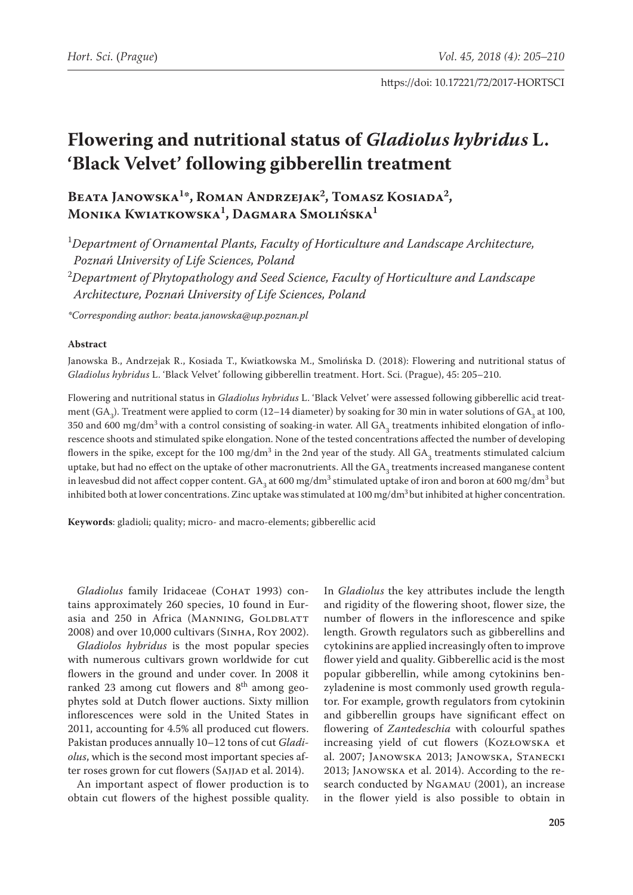# **Flowering and nutritional status of** *Gladiolus hybridus* **L. 'Black Velvet' following gibberellin treatment**

# Beata Janowska<sup>1\*</sup>, Roman Andrzejak<sup>2</sup>, Tomasz Kosiada<sup>2</sup>, **Monika Kwiatkowska1 , Dagmara Smolińska1**

1 *Department of Ornamental Plants, Faculty of Horticulture and Landscape Architecture, Poznań University of Life Sciences, Poland*

2 *Department of Phytopathology and Seed Science, Faculty of Horticulture and Landscape Architecture, Poznań University of Life Sciences, Poland*

*\*Corresponding author: [beata.janowska@up.poznan.pl](mailto:beata.janowska@up.poznan.pl)*

# **Abstract**

Janowska B., Andrzejak R., Kosiada T., Kwiatkowska M., Smolińska D. (2018): Flowering and nutritional status of *Gladiolus hybridus* L. 'Black Velvet' following gibberellin treatment. Hort. Sci. (Prague), 45: 205–210.

Flowering and nutritional status in *Gladiolus hybridus* L. 'Black Velvet' were assessed following gibberellic acid treatment (GA<sub>3</sub>). Treatment were applied to corm (12–14 diameter) by soaking for 30 min in water solutions of GA<sub>3</sub> at 100, 350 and 600 mg/dm $^3$  with a control consisting of soaking-in water. All GA<sub>3</sub> treatments inhibited elongation of inflorescence shoots and stimulated spike elongation. None of the tested concentrations affected the number of developing flowers in the spike, except for the 100 mg/dm<sup>3</sup> in the 2nd year of the study. All  $GA_{3}$  treatments stimulated calcium uptake, but had no effect on the uptake of other macronutrients. All the  $GA_{3}$  treatments increased manganese content in leavesbud did not affect copper content.  $GA_3$  at 600 mg/dm<sup>3</sup> stimulated uptake of iron and boron at 600 mg/dm<sup>3</sup> but inhibited both at lower concentrations. Zinc uptake was stimulated at 100 mg/dm<sup>3</sup> but inhibited at higher concentration.

**Keywords**: gladioli; quality; micro- and macro-elements; gibberellic acid

Gladiolus family Iridaceae (COHAT 1993) contains approximately 260 species, 10 found in Eurasia and 250 in Africa (MANNING, GOLDBLATT 2008) and over 10,000 cultivars (Sinha, Roy 2002).

*Gladiolos hybridus* is the most popular species with numerous cultivars grown worldwide for cut flowers in the ground and under cover. In 2008 it ranked 23 among cut flowers and 8<sup>th</sup> among geophytes sold at Dutch flower auctions. Sixty million inflorescences were sold in the United States in 2011, accounting for 4.5% all produced cut flowers. Pakistan produces annually 10–12 tons of cut *Gladiolus*, which is the second most important species after roses grown for cut flowers (SAJJAD et al. 2014).

An important aspect of flower production is to obtain cut flowers of the highest possible quality.

In *Gladiolus* the key attributes include the length and rigidity of the flowering shoot, flower size, the number of flowers in the inflorescence and spike length. Growth regulators such as gibberellins and cytokinins are applied increasingly often to improve flower yield and quality. Gibberellic acid is the most popular gibberellin, while among cytokinins benzyladenine is most commonly used growth regulator. For example, growth regulators from cytokinin and gibberellin groups have significant effect on flowering of *Zantedeschia* with colourful spathes increasing yield of cut flowers (Kozłowska et al. 2007; Janowska 2013; Janowska, Stanecki 2013; Janowska et al. 2014). According to the research conducted by Ngamau (2001), an increase in the flower yield is also possible to obtain in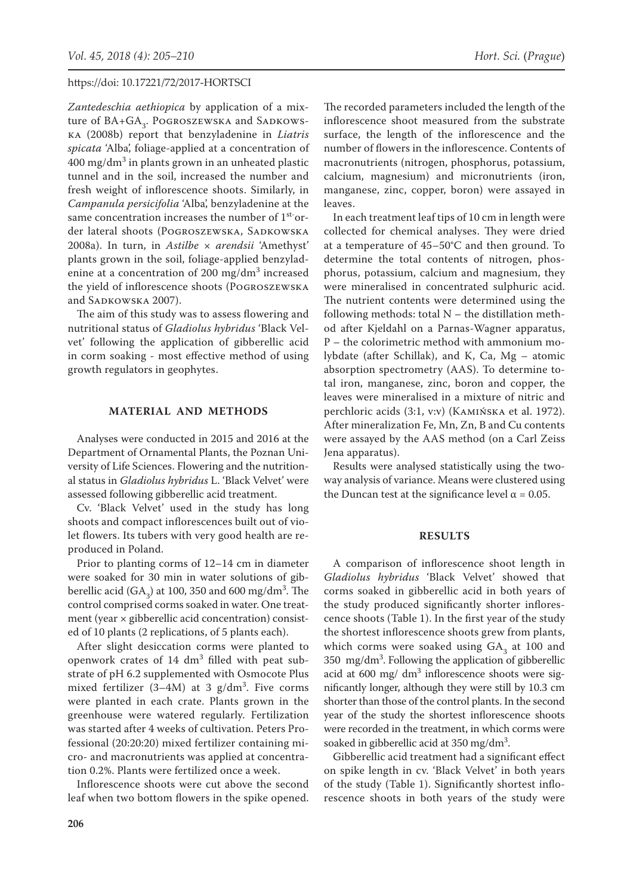*Zantedeschia aethiopica* by application of a mixture of  $BA+GA_3$ . Pogroszewska and Sadkowska (2008b) report that benzyladenine in *Liatris spicata* 'Alba', foliage-applied at a concentration of  $400 \mathrm{\ mg/dm^3}$  in plants grown in an unheated plastic tunnel and in the soil, increased the number and fresh weight of inflorescence shoots. Similarly, in *Campanula persicifolia* 'Alba', benzyladenine at the same concentration increases the number of 1<sup>st-</sup>order lateral shoots (POGROSZEWSKA, SADKOWSKA 2008a). In turn, in *Astilbe* × *arendsii* 'Amethyst' plants grown in the soil, foliage-applied benzyladenine at a concentration of 200 mg/dm<sup>3</sup> increased the yield of inflorescence shoots (Pogroszewska and SADKOWSKA 2007).

The aim of this study was to assess flowering and nutritional status of *Gladiolus hybridus* 'Black Velvet' following the application of gibberellic acid in corm soaking - most effective method of using growth regulators in geophytes.

# **MATERIAL AND METHODS**

Analyses were conducted in 2015 and 2016 at the Department of Ornamental Plants, the Poznan University of Life Sciences. Flowering and the nutritional status in *Gladiolus hybridus* L. 'Black Velvet' were assessed following gibberellic acid treatment.

Cv. 'Black Velvet' used in the study has long shoots and compact inflorescences built out of violet flowers. Its tubers with very good health are reproduced in Poland.

Prior to planting corms of 12–14 cm in diameter were soaked for 30 min in water solutions of gibberellic acid  $(GA_3)$  at 100, 350 and 600 mg/dm<sup>3</sup>. The control comprised corms soaked in water. One treatment (year  $\times$  gibberellic acid concentration) consisted of 10 plants (2 replications, of 5 plants each).

After slight desiccation corms were planted to openwork crates of  $14 \text{ dm}^3$  filled with peat substrate of pH 6.2 supplemented with Osmocote Plus mixed fertilizer  $(3-4M)$  at 3 g/dm<sup>3</sup>. Five corms were planted in each crate. Plants grown in the greenhouse were watered regularly. Fertilization was started after 4 weeks of cultivation. Peters Professional (20:20:20) mixed fertilizer containing micro- and macronutrients was applied at concentration 0.2%. Plants were fertilized once a week.

Inflorescence shoots were cut above the second leaf when two bottom flowers in the spike opened.

The recorded parameters included the length of the inflorescence shoot measured from the substrate surface, the length of the inflorescence and the number of flowers in the inflorescence. Contents of macronutrients (nitrogen, phosphorus, potassium, calcium, magnesium) and micronutrients (iron, manganese, zinc, copper, boron) were assayed in leaves.

In each treatment leaf tips of 10 cm in length were collected for chemical analyses. They were dried at a temperature of 45–50°C and then ground. To determine the total contents of nitrogen, phosphorus, potassium, calcium and magnesium, they were mineralised in concentrated sulphuric acid. The nutrient contents were determined using the following methods: total  $N$  – the distillation method after Kjeldahl on a Parnas-Wagner apparatus, P – the colorimetric method with ammonium molybdate (after Schillak), and K, Ca, Mg – atomic absorption spectrometry (AAS). To determine total iron, manganese, zinc, boron and copper, the leaves were mineralised in a mixture of nitric and perchloric acids (3:1, v:v) (Kamińska et al. 1972). After mineralization Fe, Mn, Zn, B and Cu contents were assayed by the AAS method (on a Carl Zeiss Jena apparatus).

Results were analysed statistically using the twoway analysis of variance. Means were clustered using the Duncan test at the significance level  $\alpha$  = 0.05.

## **RESULTS**

A comparison of inflorescence shoot length in *Gladiolus hybridus* 'Black Velvet' showed that corms soaked in gibberellic acid in both years of the study produced significantly shorter inflorescence shoots (Table 1). In the first year of the study the shortest inflorescence shoots grew from plants, which corms were soaked using  $GA_3$  at 100 and 350 mg/dm3 . Following the application of gibberellic acid at  $600 \text{ mg}/ \text{ dm}^3$  inflorescence shoots were significantly longer, although they were still by 10.3 cm shorter than those of the control plants. In the second year of the study the shortest inflorescence shoots were recorded in the treatment, in which corms were soaked in gibberellic acid at  $350 \text{ mg/dm}^3$ .

Gibberellic acid treatment had a significant effect on spike length in cv. 'Black Velvet' in both years of the study (Table 1). Significantly shortest inflorescence shoots in both years of the study were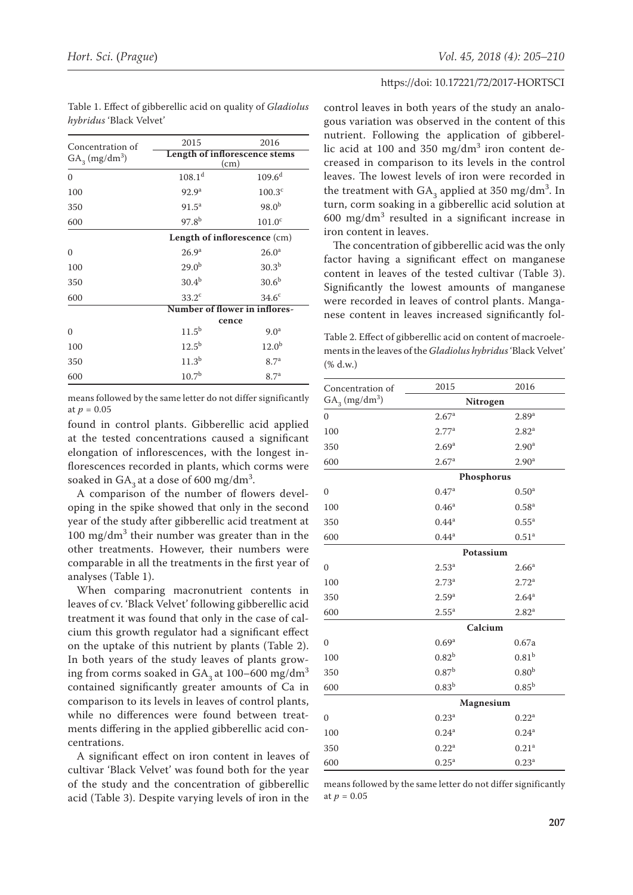| Concentration of<br>$GA_{3}$ (mg/dm <sup>3</sup> ) | 2015                                  | 2016               |
|----------------------------------------------------|---------------------------------------|--------------------|
|                                                    | Length of inflorescence stems<br>(cm) |                    |
| $\mathbf{0}$                                       | $108.1^d$                             | $109.6^{d}$        |
| 100                                                | 92.9 <sup>a</sup>                     | 100.3 <sup>c</sup> |
| 350                                                | $91.5^{\circ}$                        | $98.0^{b}$         |
| 600                                                | $97.8^{b}$                            | 101.0 <sup>c</sup> |
|                                                    | Length of inflorescence (cm)          |                    |
| 0                                                  | 26.9 <sup>a</sup>                     | $26.0^{\rm a}$     |
| 100                                                | $29.0^{b}$                            | $30.3^{b}$         |
| 350                                                | $30.4^{b}$                            | 30.6 <sup>b</sup>  |
| 600                                                | 33.2 <sup>c</sup>                     | 34.6 <sup>c</sup>  |
|                                                    | Number of flower in inflores-         |                    |
|                                                    | cence                                 |                    |
| $\Omega$                                           | $11.5^{b}$                            | 9.0 <sup>a</sup>   |
| 100                                                | $12.5^{b}$                            | $12.0^{b}$         |
| 350                                                | $11.3^{\rm b}$                        | 8.7 <sup>a</sup>   |
| 600                                                | $10.7^{b}$                            | 8.7 <sup>a</sup>   |

Table 1. Effect of gibberellic acid on quality of *Gladiolus hybridus* 'Black Velvet'

means followed by the same letter do not differ significantly at  $p = 0.05$ 

found in control plants. Gibberellic acid applied at the tested concentrations caused a significant elongation of inflorescences, with the longest inflorescences recorded in plants, which corms were soaked in  $GA_3$  at a dose of 600 mg/dm<sup>3</sup>.

A comparison of the number of flowers developing in the spike showed that only in the second year of the study after gibberellic acid treatment at 100 mg/dm<sup>3</sup> their number was greater than in the other treatments. However, their numbers were comparable in all the treatments in the first year of analyses (Table 1).

When comparing macronutrient contents in leaves of cv. 'Black Velvet' following gibberellic acid treatment it was found that only in the case of calcium this growth regulator had a significant effect on the uptake of this nutrient by plants (Table 2). In both years of the study leaves of plants growing from corms soaked in  $GA_3$  at 100–600 mg/dm<sup>3</sup> contained significantly greater amounts of Ca in comparison to its levels in leaves of control plants, while no differences were found between treatments differing in the applied gibberellic acid concentrations.

A significant effect on iron content in leaves of cultivar 'Black Velvet' was found both for the year of the study and the concentration of gibberellic acid (Table 3). Despite varying levels of iron in the

#### https://doi: 10.17221/72/2017-HORTSCI

control leaves in both years of the study an analogous variation was observed in the content of this nutrient. Following the application of gibberellic acid at  $100$  and  $350 \text{ mg/dm}^3$  iron content decreased in comparison to its levels in the control leaves. The lowest levels of iron were recorded in the treatment with  $GA_3$  applied at 350 mg/dm<sup>3</sup>. In turn, corm soaking in a gibberellic acid solution at  $600 \text{ mg/dm}^3$  resulted in a significant increase in iron content in leaves.

The concentration of gibberellic acid was the only factor having a significant effect on manganese content in leaves of the tested cultivar (Table 3). Significantly the lowest amounts of manganese were recorded in leaves of control plants. Manganese content in leaves increased significantly fol-

Table 2. Effect of gibberellic acid on content of macroelements in the leaves of the *Gladiolus hybridus* 'Black Velvet' (% d.w.)

| Concentration of             | 2015              | 2016                |  |
|------------------------------|-------------------|---------------------|--|
| $GA_3$ (mg/dm <sup>3</sup> ) | Nitrogen          |                     |  |
| $\mathbf{0}$                 | 2.67 <sup>a</sup> | 2.89 <sup>a</sup>   |  |
| 100                          | 2.77 <sup>a</sup> | 2.82 <sup>a</sup>   |  |
| 350                          | 2.69 <sup>a</sup> | 2.90 <sup>a</sup>   |  |
| 600                          | 2.67 <sup>a</sup> | 2.90 <sup>a</sup>   |  |
|                              | Phosphorus        |                     |  |
| $\overline{0}$               | 0.47 <sup>a</sup> | $0.50^{\rm a}$      |  |
| 100                          | 0.46 <sup>a</sup> | 0.58 <sup>a</sup>   |  |
| 350                          | $0.44^{\rm a}$    | $0.55^{\rm a}$      |  |
| 600                          | 0.44 <sup>a</sup> | 0.51 <sup>a</sup>   |  |
|                              | Potassium         |                     |  |
| $\overline{0}$               | $2.53^{\circ}$    | 2.66 <sup>a</sup>   |  |
| 100                          | $2.73^{a}$        | 2.72 <sup>a</sup>   |  |
| 350                          | 2.59 <sup>a</sup> | $2.64^{\mathrm{a}}$ |  |
| 600                          | $2.55^{\rm a}$    | 2.82 <sup>a</sup>   |  |
|                              | Calcium           |                     |  |
| $\overline{0}$               | 0.69 <sup>a</sup> | 0.67a               |  |
| 100                          | $0.82^{b}$        | 0.81 <sup>b</sup>   |  |
| 350                          | 0.87 <sup>b</sup> | 0.80 <sup>b</sup>   |  |
| 600                          | $0.83^{b}$        | $0.85^{b}$          |  |
|                              | Magnesium         |                     |  |
| $\mathbf{0}$                 | 0.23 <sup>a</sup> | $0.22^a$            |  |
| 100                          | $0.24^{a}$        | $0.24^{a}$          |  |
| 350                          | 0.22 <sup>a</sup> | 0.21 <sup>a</sup>   |  |
| 600                          | $0.25^{\rm a}$    | $0.23^{a}$          |  |

means followed by the same letter do not differ significantly at  $p = 0.05$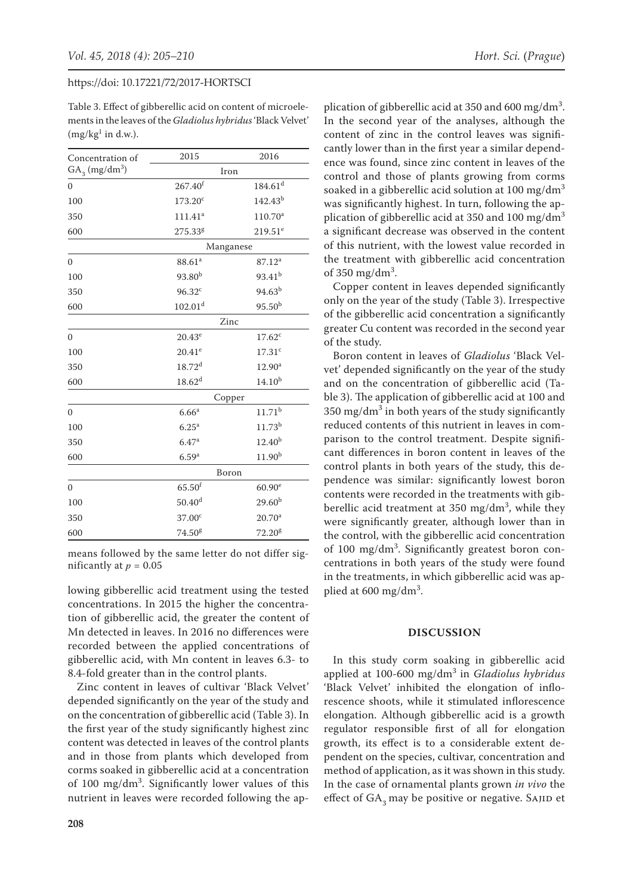Table 3. Effect of gibberellic acid on content of microelements in the leaves of the *Gladiolus hybridus* 'Black Velvet'  $(mg/kg<sup>1</sup>$  in d.w.).

| Concentration of               | 2015                  | 2016                  |  |
|--------------------------------|-----------------------|-----------------------|--|
| $GA_{3}$ (mg/dm <sup>3</sup> ) | Iron                  |                       |  |
| $\overline{0}$                 | $267.40$ <sup>f</sup> | $184.61$ <sup>d</sup> |  |
| 100                            | 173.20 <sup>c</sup>   | $142.43^{b}$          |  |
| 350                            | $111.41^a$            | $110.70^a$            |  |
| 600                            | 275.33 <sup>g</sup>   | $219.51^e$            |  |
|                                | Manganese             |                       |  |
| $\theta$                       | 88.61 <sup>a</sup>    | 87.12 <sup>a</sup>    |  |
| 100                            | 93.80 <sup>b</sup>    | $93.41^{b}$           |  |
| 350                            | $96.32^c$             | $94.63^{b}$           |  |
| 600                            | 102.01 <sup>d</sup>   | 95.50 <sup>b</sup>    |  |
|                                | Zinc                  |                       |  |
| $\overline{0}$                 | $20.43^e$             | $17.62^c$             |  |
| 100                            | $20.41^e$             | 17.31 <sup>c</sup>    |  |
| 350                            | $18.72^{d}$           | 12.90 <sup>a</sup>    |  |
| 600                            | 18.62 <sup>d</sup>    | $14.10^{b}$           |  |
|                                | Copper                |                       |  |
| $\Omega$                       | 6.66 <sup>a</sup>     | $11.71^{b}$           |  |
| 100                            | 6.25 <sup>a</sup>     | $11.73^{b}$           |  |
| 350                            | 6.47a                 | $12.40^{b}$           |  |
| 600                            | 6.59 <sup>a</sup>     | $11.90^{b}$           |  |
|                                | Boron                 |                       |  |
| $\overline{0}$                 | $65.50$ <sup>f</sup>  | $60.90^{\circ}$       |  |
| 100                            | $50.40^{d}$           | $29.60^{b}$           |  |
| 350                            | 37.00 <sup>c</sup>    | $20.70^{\text{a}}$    |  |
| 600                            | 74.50 <sup>g</sup>    | 72.20g                |  |

means followed by the same letter do not differ significantly at  $p = 0.05$ 

lowing gibberellic acid treatment using the tested concentrations. In 2015 the higher the concentration of gibberellic acid, the greater the content of Mn detected in leaves. In 2016 no differences were recorded between the applied concentrations of gibberellic acid, with Mn content in leaves 6.3- to 8.4-fold greater than in the control plants.

Zinc content in leaves of cultivar 'Black Velvet' depended significantly on the year of the study and on the concentration of gibberellic acid (Table 3). In the first year of the study significantly highest zinc content was detected in leaves of the control plants and in those from plants which developed from corms soaked in gibberellic acid at a concentration of 100 mg/dm<sup>3</sup>. Significantly lower values of this nutrient in leaves were recorded following the ap-

plication of gibberellic acid at 350 and 600 mg/dm<sup>3</sup>. In the second year of the analyses, although the content of zinc in the control leaves was significantly lower than in the first year a similar dependence was found, since zinc content in leaves of the control and those of plants growing from corms soaked in a gibberellic acid solution at  $100 \text{ mg/dm}^3$ was significantly highest. In turn, following the application of gibberellic acid at 350 and 100 mg/dm<sup>3</sup> a significant decrease was observed in the content of this nutrient, with the lowest value recorded in the treatment with gibberellic acid concentration of  $350 \text{ mg/dm}^3$ . Copper content in leaves depended significantly

only on the year of the study (Table 3). Irrespective of the gibberellic acid concentration a significantly greater Cu content was recorded in the second year of the study.

Boron content in leaves of *Gladiolus* 'Black Velvet' depended significantly on the year of the study and on the concentration of gibberellic acid (Table 3). The application of gibberellic acid at 100 and  $350 \text{ mg/dm}^3$  in both years of the study significantly reduced contents of this nutrient in leaves in comparison to the control treatment. Despite significant differences in boron content in leaves of the control plants in both years of the study, this dependence was similar: significantly lowest boron contents were recorded in the treatments with gibberellic acid treatment at 350 mg/dm<sup>3</sup>, while they were significantly greater, although lower than in the control, with the gibberellic acid concentration of 100 mg/dm<sup>3</sup>. Significantly greatest boron concentrations in both years of the study were found in the treatments, in which gibberellic acid was applied at  $600 \text{ mg/dm}^3$ .

## **DISCUSSION**

In this study corm soaking in gibberellic acid applied at 100-600 mg/dm<sup>3</sup> in *Gladiolus hybridus* 'Black Velvet' inhibited the elongation of inflorescence shoots, while it stimulated inflorescence elongation. Although gibberellic acid is a growth regulator responsible first of all for elongation growth, its effect is to a considerable extent dependent on the species, cultivar, concentration and method of application, as it was shown in this study. In the case of ornamental plants grown *in vivo* the effect of GA<sub>2</sub> may be positive or negative. SAJID et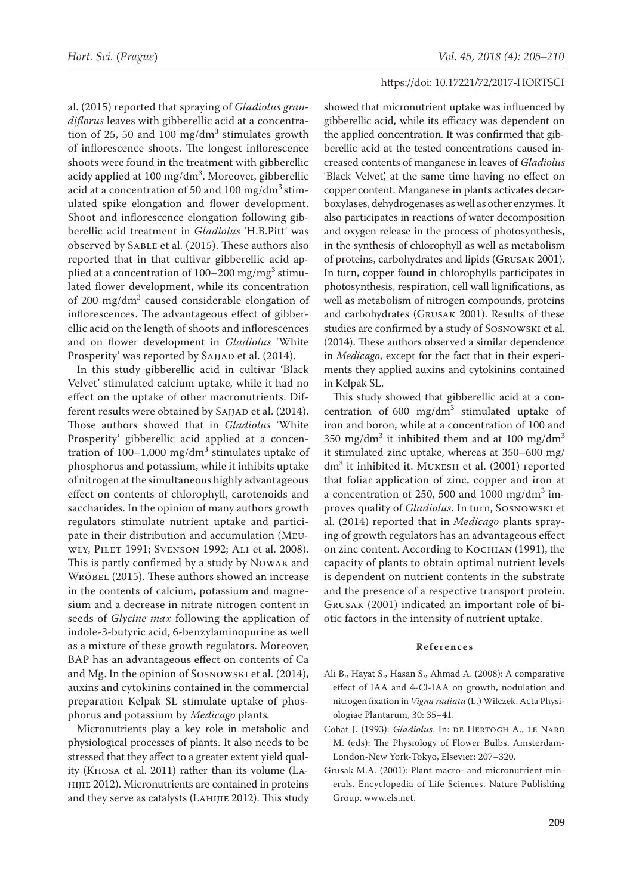al. (2015) reported that spraying of *Gladiolus grandiflorus* leaves with gibberellic acid at a concentration of 25, 50 and 100 mg/d $\text{m}^3$  stimulates growth of inflorescence shoots. The longest inflorescence shoots were found in the treatment with gibberellic acidy applied at 100 mg/dm<sup>3</sup>. Moreover, gibberellic acid at a concentration of 50 and 100 mg/dm<sup>3</sup> stimulated spike elongation and flower development. Shoot and inflorescence elongation following gibberellic acid treatment in *Gladiolus* 'H.B.Pitt' was observed by Sable et al. (2015). These authors also reported that in that cultivar gibberellic acid applied at a concentration of  $100-200$  mg/mg<sup>3</sup> stimulated flower development, while its concentration of 200 mg/dm<sup>3</sup> caused considerable elongation of inflorescences. The advantageous effect of gibberellic acid on the length of shoots and inflorescences and on flower development in *Gladiolus* 'White Prosperity' was reported by SAJJAD et al. (2014).

In this study gibberellic acid in cultivar 'Black Velvet' stimulated calcium uptake, while it had no effect on the uptake of other macronutrients. Different results were obtained by SAJJAD et al. (2014). Those authors showed that in *Gladiolus* 'White Prosperity' gibberellic acid applied at a concentration of  $100-1,000$  mg/dm<sup>3</sup> stimulates uptake of phosphorus and potassium, while it inhibits uptake of nitrogen at the simultaneous highly advantageous effect on contents of chlorophyll, carotenoids and saccharides. In the opinion of many authors growth regulators stimulate nutrient uptake and participate in their distribution and accumulation (Meuwly, Pilet 1991; Svenson 1992; Ali et al. 2008). This is partly confirmed by a study by Nowak and WRÓBEL (2015). These authors showed an increase in the contents of calcium, potassium and magnesium and a decrease in nitrate nitrogen content in seeds of *Glycine max* following the application of indole-3-butyric acid, 6-benzylaminopurine as well as a mixture of these growth regulators. Moreover, BAP has an advantageous effect on contents of Ca and Mg. In the opinion of Sosnowski et al. (2014), auxins and cytokinins contained in the commercial preparation Kelpak SL stimulate uptake of phosphorus and potassium by *Medicago* plants*.*

Micronutrients play a key role in metabolic and physiological processes of plants. It also needs to be stressed that they affect to a greater extent yield quality (Khosa et al. 2011) rather than its volume (Lahijie 2012). Micronutrients are contained in proteins and they serve as catalysts (Lahijie 2012). This study

showed that micronutrient uptake was influenced by gibberellic acid, while its efficacy was dependent on the applied concentration. It was confirmed that gibberellic acid at the tested concentrations caused increased contents of manganese in leaves of *Gladiolus*  'Black Velvet', at the same time having no effect on copper content. Manganese in plants activates decarboxylases, dehydrogenases as well as other enzymes. It also participates in reactions of water decomposition and oxygen release in the process of photosynthesis, in the synthesis of chlorophyll as well as metabolism of proteins, carbohydrates and lipids (Grusak 2001). In turn, copper found in chlorophylls participates in photosynthesis, respiration, cell wall lignifications, as well as metabolism of nitrogen compounds, proteins and carbohydrates (Grusak 2001). Results of these studies are confirmed by a study of Sosnowski et al. (2014). These authors observed a similar dependence in *Medicago*, except for the fact that in their experiments they applied auxins and cytokinins contained in Kelpak SL.

This study showed that gibberellic acid at a concentration of  $600 \, \text{mg/dm}^3$  stimulated uptake of iron and boron, while at a concentration of 100 and 350 mg/dm<sup>3</sup> it inhibited them and at 100 mg/dm<sup>3</sup> it stimulated zinc uptake, whereas at 350–600 mg/ dm<sup>3</sup> it inhibited it. MUKESH et al. (2001) reported that foliar application of zinc, copper and iron at a concentration of 250, 500 and  $1000 \text{ mg/dm}^3$  improves quality of *Gladiolus.* In turn, Sosnowski et al. (2014) reported that in *Medicago* plants spraying of growth regulators has an advantageous effect on zinc content. According to Kochian (1991), the capacity of plants to obtain optimal nutrient levels is dependent on nutrient contents in the substrate and the presence of a respective transport protein. Grusak (2001) indicated an important role of biotic factors in the intensity of nutrient uptake.

#### **References**

- Ali B., Hayat S., Hasan S., Ahmad A. **(**2008): A comparative effect of IAA and 4-Cl-IAA on growth, nodulation and nitrogen fixation in *Vigna radiata* (L.) Wilczek. Acta Physiologiae Plantarum, 30: 35–41.
- Cohat J. (1993): *Gladiolus*. In: de Hertogh A., le Nard M. (eds): The Physiology of Flower Bulbs. Amsterdam-London-New York-Tokyo, Elsevier: 207–320.
- Grusak M.A. (2001): Plant macro- and micronutrient minerals. Encyclopedia of Life Sciences. Nature Publishing Group, [www.els.net](http://www.els.net).